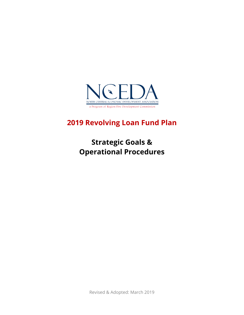

# **2019 Revolving Loan Fund Plan**

# **Strategic Goals & Operational Procedures**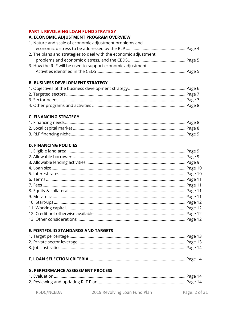#### **PART I: REVOLVING LOAN FUND STRATEGY**

#### A. ECONOMIC ADJUSTMENT PROGRAM OVERVIEW

| 1. Nature and scale of economic adjustment problems and          |  |
|------------------------------------------------------------------|--|
|                                                                  |  |
| 2. The plans and strategies to deal with the economic adjustment |  |
|                                                                  |  |
| 3. How the RLF will be used to support economic adjustment       |  |
|                                                                  |  |

## **B. BUSINESS DEVELOPMENT STRATEGY**

#### **C. FINANCING STRATEGY**

## **D. FINANCING POLICIES**

## E. PORTFOLIO STANDARDS AND TARGETS

#### **G. PERFORMANCE ASSESSMENT PROCESS**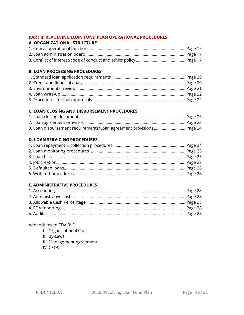## **PART II: REVOLVING LOAN FUND PLAN OPERATIONAL PROCEDURES**

## **A. ORGANIZATIONAL STRUCTURE**

## **B. LOAN PROCESSING PROCEDURES**

## **C. LOAN CLOSING AND DISBURSEMENT PROCEDURES**

## **D. LOAN SERVICING PROCEDURES**

## **E. ADMINISTRATIVE PROCEDURES**

## Addendums to EDA RLF

- I. Organizational Chart
- II. By-Laws
- III. Management Agreement
- IV. CEDS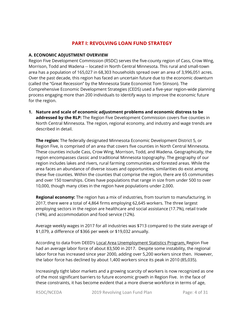## **PART I: REVOLVING LOAN FUND STRATEGY**

#### **A. ECONOMIC ADJUSTMENT OVERVIEW**

Region Five Development Commission (R5DC) serves the five-county region of Cass, Crow Wing, Morrison, Todd and Wadena -- located in North Central Minnesota. This rural and small-town area has a population of 165,027 in 68,303 households spread over an area of 3,996,051 acres. Over the past decade, this region has faced an uncertain future due to the economic downturn (called the "Great Recession" by the Minnesota State Economist Tom Stinson). The Comprehensive Economic Development Strategies (CEDS) used a five-year region-wide planning process engaging more than 200 individuals to identify ways to improve the economic future for the region.

**1. Nature and scale of economic adjustment problems and economic distress to be**  addressed by the RLP: The Region Five Development Commission covers five counties in North Central Minnesota. The region, regional economy, and industry and wage trends are described in detail.

**The region:** The federally designated Minnesota Economic Development District 5, or Region Five, is comprised of an area that covers five counties in North Central Minnesota. These counties include Cass, Crow Wing, Morrison, Todd, and Wadena. Geographically, the region encompasses classic and traditional Minnesota topography. The geography of our region includes lakes and rivers, rural farming communities and forested areas. While the area faces an abundance of diverse issues and opportunities, similarities do exist among these five counties. Within the counties that comprise the region, there are 65 communities and over 150 townships. Cities have populations that range in size from under 500 to over 10,000, though many cities in the region have populations under 2,000.

**Regional economy:** The region has a mix of industries, from tourism to manufacturing. In 2017, there were a total of 4,864 firms employing 62,645 workers. The three largest employing sectors in the region are healthcare and social assistance (17.7%), retail trade (14%), and accommodation and food service (12%).

Average weekly wages in 2017 for all industries was \$713 compared to the state average of \$1,079, a difference of \$366 per week or \$19,032 annually.

According to data from DEED's Local Area Unemployment Statistics Program, Region Five had an average labor force of about 83,500 in 2017. Despite some instability, the regional labor force has increased since year 2000, adding over 5,200 workers since then. However, the labor force has declined by about 1,400 workers since its peak in 2010 (85,035).

Increasingly tight labor markets and a growing scarcity of workers is now recognized as one of the most significant barriers to future economic growth in Region Five. In the face of these constraints, it has become evident that a more diverse workforce in terms of age,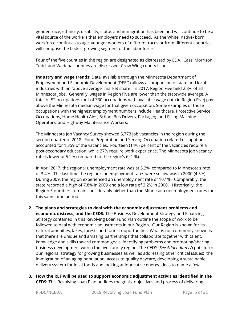gender, race, ethnicity, disability, status and immigration has been and will continue to be a vital source of the workers that employers need to succeed. As the White, native- born workforce continues to age, younger workers of different races or from different countries will comprise the fastest growing segment of the labor force.

Four of the five counties in the region are designated as distressed by EDA. Cass, Morrison, Todd, and Wadena counties are distressed; Crow Wing county is not.

**Industry and wage trends:** Data, available through the Minnesota Department of Employment and Economic Development (DEED) allows a comparison of state and local industries with an "above-average" market share. In 2017, Region Five held 2.8% of all Minnesota jobs. Generally, wages in Region Five are lower than the statewide average. A total of 52 occupations (out of 330 occupations with available wage data in Region Five) pay above the Minnesota median wage for that given occupation. Some examples of those occupations with the highest employment numbers include Healthcare, Protective Service Occupations, Home Health Aids, School Bus Drivers, Packaging and Filling Machine Operators, and Highway Maintenance Workers.

The Minnesota Job Vacancy Survey showed 5,773 job vacancies in the region during the second quarter of 2018. Food Preparation and Serving Occupation related occupations accounted for 1,359 of the vacancies. Fourteen (14%) percent of the vacancies require a post-secondary education, while 27% require work experience. The Minnesota job vacancy rate is lower at 5.2% compared to the region's (9.1 %).

In April 2017, the regional unemployment rate was at 5.2%, compared to Minnesota's rate of 3.4%. The last time the region's unemployment rates were so low was in 2000 (4.5%). During 2009, the region experienced an unemployment rate of 10.1%. Comparably, the state recorded a high of 7.8% in 2009 and a low rate of 3.2% in 2000. Historically, the Region 5 numbers remain considerably higher than the Minnesota unemployment rates for this same time period.

- **2. The plans and strategies to deal with the economic adjustment problems and economic distress, and the CEDS:** The Business Development Strategy and Financing Strategy contained in this Revolving Loan Fund Plan outline the scope of work to be followed to deal with economic adjustments in our Region. Our Region is known for its natural amenities, lakes, forests and tourist opportunities. What is not commonly known is that there are unique and amazing partnerships that collaborate together with talent, knowledge and skills toward common goals, identifying problems and promoting/sharing business development within the five-county region. The CEDS (*See Addendum IV*) puts forth our regional strategy for growing businesses as well as addressing other critical issues: the in-migration of an aging population, access to quality daycare, developing a sustainable delivery system for local foods and looking at innovative energy ideas to name a few.
- **3. How the RLF will be used to support economic adjustment activities identified in the CEDS:** This Revolving Loan Plan outlines the goals, objectives and process of delivering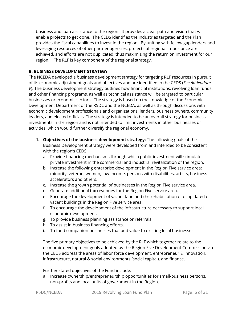business and loan assistance to the region. It provides a clear path and vision that will enable projects to get done. The CEDS identifies the industries targeted and the Plan provides the fiscal capabilities to invest in the region. By uniting with fellow gap lenders and leveraging resources of other partner agencies, projects of regional importance are achieved, and efforts are not duplicated, thus maximizing the return on investment for our region. The RLF is key component of the regional strategy.

## **B. BUSINESS DEVELOPMENT STRATEGY**

The NCEDA developed a business development strategy for targeting RLF resources in pursuit of its economic adjustment goals and objectives and are identified in the CEDS (*See Addendum V*). The business development strategy outlines how financial institutions, revolving loan funds, and other financing programs, as well as technical assistance will be targeted to particular businesses or economic sectors. The strategy is based on the knowledge of the Economic Development Department of the R5DC and the NCEDA, as well as through discussions with economic development professionals and organizations, lenders, business owners, community leaders, and elected officials. The strategy is intended to be an overall strategy for business investments in the region and is not intended to limit investments in other businesses or activities, which would further diversify the regional economy.

- **1. Objectives of the business development strategy:** The following goals of the Business Development Strategy were developed from and intended to be consistent with the region's CEDS:
	- a. Provide financing mechanisms through which public investment will stimulate private investment in the commercial and industrial revitalization of the region.
	- b. Increase the following enterprise development in the Region Five service area: minority, veteran, women, low-income, persons with disabilities, artists, business accelerators and others.
	- c. Increase the growth potential of businesses in the Region Five service area.
	- d. Generate additional tax revenues for the Region Five service area.
	- e. Encourage the development of vacant land and the rehabilitation of dilapidated or vacant buildings in the Region Five service area.
	- f. To encourage the development of the infrastructure necessary to support local economic development.
	- g. To provide business planning assistance or referrals.
	- h. To assist in business financing efforts.
	- i. To fund companion businesses that add value to existing local businesses.

The five primary objectives to be achieved by the RLF which together relate to the economic development goals adopted by the Region Five Development Commission via the CEDS address the areas of labor force development, entrepreneur & innovation, infrastructure, natural & social environments (social capital), and finance.

Further stated objectives of the Fund include:

a. Increase ownership/entrepreneurship opportunities for small-business persons, non-profits and local units of government in the Region.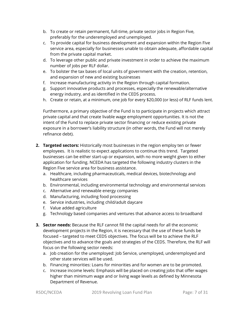- b. To create or retain permanent, full-time, private sector jobs in Region Five, preferably for the underemployed and unemployed.
- c. To provide capital for business development and expansion within the Region Five service area, especially for businesses unable to obtain adequate, affordable capital from the private capital market.
- d. To leverage other public and private investment in order to achieve the maximum number of jobs per RLF dollar.
- e. To bolster the tax bases of local units of government with the creation, retention, and expansion of new and existing businesses
- f. Increase manufacturing activity in the Region through capital formation.
- g. Support innovative products and processes, especially the renewable/alternative energy industry, and as identified in the CEDS process.
- h. Create or retain, at a minimum, one job for every \$20,000 (or less) of RLF funds lent.

Furthermore, a primary objective of the Fund is to participate in projects which attract private capital and that create livable wage employment opportunities. It is not the intent of the Fund to replace private sector financing or reduce existing private exposure in a borrower's liability structure (in other words, the Fund will not merely refinance debt).

- **2. Targeted sectors:** Historically most businesses in the region employ ten or fewer employees. It is realistic to expect applications to continue this trend. Targeted businesses can be either start-up or expansion, with no more weight given to either application for funding. NCEDA has targeted the following industry clusters in the Region Five service area for business assistance.
	- a. Healthcare, including pharmaceuticals, medical devices, biotechnology and healthcare services
	- b. Environmental, including environmental technology and environmental services
	- c. Alternative and renewable energy companies
	- d. Manufacturing, including food processing
	- e. Service industries, including child/adult daycare
	- f. Value added agriculture
	- g. Technology based companies and ventures that advance access to broadband
- **3. Sector needs:** Because the RLF cannot fill the capital needs for all the economic development projects in the Region, it is necessary that the use of these funds be focused – targeted to meet CEDS objectives. The focus will be to achieve the RLF objectives and to advance the goals and strategies of the CEDS. Therefore, the RLF will focus on the following sector needs:
	- a. Job creation for the unemployed: Job Service, unemployed, underemployed and other state services will be used.
	- b. Financing minorities: Loans for minorities and for women are to be promoted.
	- c. Increase income levels: Emphasis will be placed on creating jobs that offer wages higher than minimum wage and or living wage levels as defined by Minnesota Department of Revenue.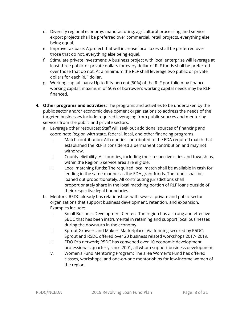- d. Diversify regional economy: manufacturing, agricultural processing, and service export projects shall be preferred over commercial, retail projects, everything else being equal.
- e. Improve tax base: A project that will increase local taxes shall be preferred over those that do not, everything else being equal.
- f. Stimulate private investment: A business project with local enterprise will leverage at least three public or private dollars for every dollar of RLF funds shall be preferred over those that do not. At a minimum the RLF shall leverage two public or private dollars for each RLF dollar.
- g. Working capital loans: Up to fifty percent (50%) of the RLF portfolio may finance working capital; maximum of 50% of borrower's working capital needs may be RLFfinanced.
- **4. Other programs and activities:** The programs and activities to be undertaken by the public sector and/or economic development organizations to address the needs of the targeted businesses include required leveraging from public sources and mentoring services from the public and private sectors.
	- a. Leverage other resources: Staff will seek out additional sources of financing and coordinate Region with state, federal, local**,** and other financing programs.
		- i. Match contribution: All counties contributed to the EDA required match that established the RLF is considered a permanent contribution and may not withdraw.
		- ii. County eligibility: All counties, including their respective cities and townships, within the Region 5 service area are eligible.
		- iii. Local matching funds: The required local match shall be available in cash for lending in the same manner as the EDA grant funds. The funds shall be loaned out proportionately. All contributing jurisdictions shall proportionately share in the local matching portion of RLF loans outside of their respective legal boundaries.
	- b. Mentors: R5DC already has relationships with several private and public sector organizations that support business development, retention, and expansion. Examples include:
		- i. Small Business Development Center: The region has a strong and effective SBDC that has been instrumental in retaining and support local businesses during the downturn in the economy.
		- ii. Sprout Growers and Makers Marketplace: Via funding secured by R5DC, Sprout and R5DC offered over 20 business related workshops 2017- 2019.
		- iii. EDO Pro network; R5DC has convened over 10 economic development professionals quarterly since 2001, all whom support business development.
		- iv. Women's Fund Mentoring Program: The area Women's Fund has offered classes, workshops, and one-on-one mentor-ships for low-income women of the region.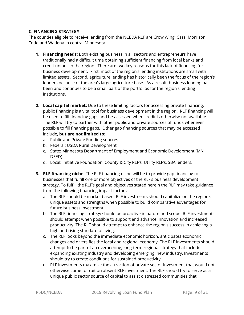## **C. FINANCING STRATEGY**

The counties eligible to receive lending from the NCEDA RLF are Crow Wing, Cass, Morrison, Todd and Wadena in central Minnesota.

- **1. Financing needs:** Both existing business in all sectors and entrepreneurs have traditionally had a difficult time obtaining sufficient financing from local banks and credit unions in the region. There are two key reasons for this lack of financing for business development. First, most of the region's lending institutions are small with limited assets. Second, agriculture lending has historically been the focus of the region's lenders because of the area's large agriculture base. As a result, business lending has been and continues to be a small part of the portfolios for the region's lending institutions.
- **2. Local capital market:** Due to these limiting factors for accessing private financing, public financing is a vital tool for business development in the region. RLF financing will be used to fill financing gaps and be accessed when credit is otherwise not available. The RLF will try to partner with other public and private sources of funds whenever possible to fill financing gaps. Other gap financing sources that may be accessed include, **but are not limited to**:
	- a. Public and Private Funding sources.
	- b. Federal: USDA Rural Development.
	- c. State: Minnesota Department of Employment and Economic Development (MN DEED).
	- d. Local: Initiative Foundation, County & City RLF's, Utility RLF's, SBA lenders.
- **3. RLF financing niche:** The RLF financing niche will be to provide gap financing to businesses that fulfill one or more objectives of the RLF's business development strategy. To fulfill the RLF's goal and objectives stated herein the RLF may take guidance from the following financing impact factors:
	- a. The RLF should be market based. RLF investments should capitalize on the region's unique assets and strengths when possible to build comparative advantages for future business investment.
	- b. The RLF financing strategy should be proactive in nature and scope. RLF investments should attempt when possible to support and advance innovation and increased productivity. The RLF should attempt to enhance the region's success in achieving a high and rising standard of living.
	- c. The RLF looks beyond the immediate economic horizon, anticipates economic changes and diversifies the local and regional economy. The RLF investments should attempt to be part of an overarching, long-term regional strategy that includes expanding existing industry and developing emerging, new industry. Investments should try to create conditions for sustained productivity.
	- d. RLF investments maximize the attraction of private sector investment that would not otherwise come to fruition absent RLF investment. The RLF should try to serve as a unique public sector source of capital to assist distressed communities that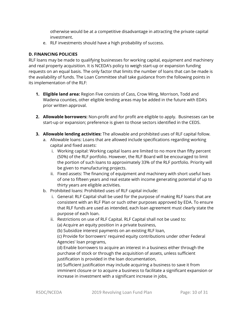otherwise would be at a competitive disadvantage in attracting the private capital investment.

e. RLF investments should have a high probability of success.

## **D. FINANCING POLICIES**

RLF loans may be made to qualifying businesses for working capital, equipment and machinery and real property acquisition. It is NCEDA's policy to weigh start-up or expansion funding requests on an equal basis. The only factor that limits the number of loans that can be made is the availability of funds. The Loan Committee shall take guidance from the following points in its implementation of the RLF:

- **1. Eligible land area:** Region Five consists of Cass, Crow Wing, Morrison, Todd and Wadena counties, other eligible lending areas may be added in the future with EDA's prior written approval.
- **2. Allowable borrowers:** Non-profit and for profit are eligible to apply. Businesses can be start-up or expansion; preference is given to those sectors identified in the CEDS.
- **3. Allowable lending activities:** The allowable and prohibited uses of RLF capital follow.
	- a. Allowable loans: Loans that are allowed include specifications regarding working capital and fixed assets:
		- i. Working capital: Working capital loans are limited to no more than fifty percent (50%) of the RLF portfolio. However, the RLF Board will be encouraged to limit the portion of such loans to approximately 33% of the RLF portfolio. Priority will be given to manufacturing projects.
		- ii. Fixed assets: The financing of equipment and machinery with short useful lives of one to fifteen years and real estate with income generating potential of up to thirty years are eligible activities.
	- b. Prohibited loans: Prohibited uses of RLF capital include:
		- i. General: RLF Capital shall be used for the purpose of making RLF loans that are consistent with an RLF Plan or such other purposes approved by EDA. To ensure that RLF funds are used as intended, each loan agreement must clearly state the purpose of each loan.
		- ii. Restrictions on use of RLF Capital. RLF Capital shall not be used to:

(a) Acquire an equity position in a private business,

(b) Subsidize interest payments on an existing RLF loan,

(c) Provide for borrowers' required equity contributions under other Federal Agencies' loan programs,

(d) Enable borrowers to acquire an interest in a business either through the purchase of stock or through the acquisition of assets, unless sufficient justification is provided in the loan documentation,

(e) Sufficient justification may include acquiring a business to save it from imminent closure or to acquire a business to facilitate a significant expansion or increase in investment with a significant increase in jobs,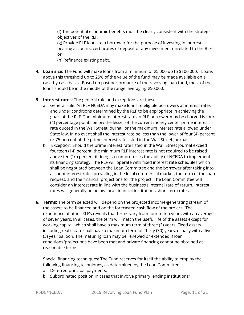(f) The potential economic benefits must be clearly consistent with the strategic objectives of the RLF,

(g) Provide RLF loans to a borrower for the purpose of investing in interestbearing accounts, certificates of deposit or any investment unrelated to the RLF, or

(h) Refinance existing debt.

**4. Loan size:** The Fund will make loans from a minimum of \$5,000 up to \$100,000. Loans above this threshold up to 25% of the value of the fund may be made available on a case-by-case basis. Based on past performance of the revolving loan fund, most of the loans should be in the middle of the range, averaging \$50,000.

## **5. Interest rates:** The general rule and exceptions are these:

- a. General rule: An RLF NCEDA may make loans to eligible borrowers at interest rates and under conditions determined by the RLF to be appropriate in achieving the goals of the RLF. The minimum interest rate an RLF borrower may be charged is four (4) percentage points below the lesser of the current money center prime interest rate quoted in the Wall Street Journal, or the maximum interest rate allowed under State law. In no event shall the interest rate be less than the lower of four (4) percent or 75 percent of the prime interest rate listed in the Wall Street Journal.
- b. Exception: Should the prime interest rate listed in the Wall Street Journal exceed fourteen (14) percent, the minimum RLF interest rate is not required to be raised above ten (10) percent if doing so compromises the ability of NCEDA to implement its financing strategy. The RLF will operate with fixed interest rate schedules which shall be negotiated between the Loan Committee and the borrower after taking into account interest rates prevailing in the local commercial market, the term of the loan request, and the financial projections for the project. The Loan Committee will consider an interest rate in line with the business's internal rate of return. Interest rates will generally be below local financial institutions short-term rates.
- **6. Terms:** The term selected will depend on the projected income-generating stream of the assets to be financed and on the forecasted cash flow of the project. The experience of other RLF's reveals that terms vary from four to ten years with an average of seven years. In all cases, the term will match the useful life of the assets except for working capital, which shall have a maximum term of three (3) years. Fixed assets including real estate shall have a maximum term of Thirty (30) years, usually with a five (5) year balloon. The maturing loan may be renewed or extended if loan conditions/projections have been met and private financing cannot be obtained at reasonable terms.

Special financing techniques: The Fund reserves for itself the ability to employ the following financing techniques, as determined by the Loan Committee:

- a. Deferred principal payments;
- b. Subordinated position in cases that involve primary lending institutions;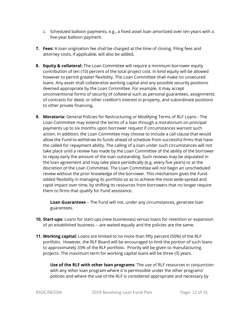- c. Scheduled balloon payments, e.g., a fixed asset loan amortized over ten years with a five-year balloon payment.
- **7. Fees:** A loan origination fee shall be charged at the time of closing. Filing fees and attorney costs, if applicable, will also be added**.**
- **8. Equity & collateral:** The Loan Committee will require a minimum borrower equity contribution of ten (10) percent of the total project cost. In kind equity will be allowed however to permit greater flexibility. The Loan Committee shall make no unsecured loans. Any asset shall collateralize working capital and any possible security positions deemed appropriate by the Loan Committee. For example, it may accept unconventional forms of security of collateral such as personal guarantees, assignments of contracts for deed, or other creditor's interest in property, and subordinate positions to other private financing**.**
- **9. Moratoria:** General Policies for Restructuring or Modifying Terms of RLF Loans The Loan Committee may extend the terms of a loan through a moratorium on principal payments up to six months upon borrower request if circumstances warrant such action. In addition, the Loan Committee may choose to include a call clause that would allow the Fund to withdraw its funds ahead of schedule from successful firms that have the called-for repayment ability. The calling of a loan under such circumstances will not take place until a review has made by the Loan Committee of the ability of the borrower to repay early the amount of the loan outstanding. Such reviews may be stipulated in the loan agreement and may take place periodically (e.g. every five years) or at the discretion of the Loan Committee. The Loan Committee will not begin an unscheduled review without the prior knowledge of the borrower. This mechanism gives the Fund added flexibility in managing its portfolio so as to achieve the most wide-spread and rapid impact over time, by shifting its resources from borrowers that no longer require them to firms that qualify for Fund assistance.

**Loan Guarantees** – The Fund will not, under any circumstances, generate loan guarantees.

- **10. Start-ups:** Loans for start-ups (new businesses) versus loans for retention or expansion of an established business -- are waited equally and the policies are the same.
- **11. Working capital:** Loans are limited to no more than fifty percent (50%) of the RLF portfolio. However, the RLF Board will be encouraged to limit the portion of such loans to approximately 33% of the RLF portfolio. Priority will be given to manufacturing projects. The maximum term for working capital loans will be three (3) years.

**Use of the RLF with other loan programs**: The use of RLF resources in conjunction with any other loan program where it is permissible under the other programs' policies and where the use of the RLF is considered appropriate and necessary by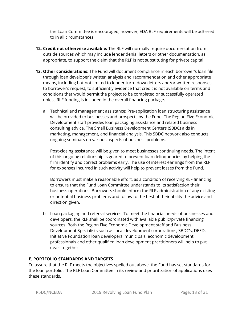the Loan Committee is encouraged; however, EDA RLF requirements will be adhered to in all circumstances.

- **12. Credit not otherwise available:** The RLF will normally require documentation from outside sources which may include lender denial letters or other documentation, as appropriate, to support the claim that the RLF is not substituting for private capital.
- **13. Other considerations:** The Fund will document compliance in each borrower's loan file through loan developer's written analysis and recommendation and other appropriate means, including but not limited to lender turn--down letters and/or written responses to borrower's request, to sufficiently evidence that credit is not available on terms and conditions that would permit the project to be completed or successfully operated unless RLF funding is included in the overall financing package**.** 
	- a. Technical and management assistance: Pre-application loan structuring assistance will be provided to businesses and prospects by the Fund. The Region Five Economic Development staff provides loan packaging assistance and related business consulting advice. The Small Business Development Centers (SBDC) aids in marketing, management, and financial analysis. This SBDC network also conducts ongoing seminars on various aspects of business problems.

Post-closing assistance will be given to meet businesses continuing needs. The intent of this ongoing relationship is geared to prevent loan delinquencies by helping the firm identify and correct problems early. The use of interest earnings from the RLF for expenses incurred in such activity will help to prevent losses from the Fund.

Borrowers must make a reasonable effort, as a condition of receiving RLF financing, to ensure that the Fund Loan Committee understands to its satisfaction their business operations. Borrowers should inform the RLF administration of any existing or potential business problems and follow to the best of their ability the advice and direction given.

b. Loan packaging and referral services: To meet the financial needs of businesses and developers, the RLF shall be coordinated with available public/private financing sources. Both the Region Five Economic Development staff and Business Development Specialists such as local development corporations, SBDC's, DEED, Initiative Foundation loan developers, municipals, economic development professionals and other qualified loan development practitioners will help to put deals together.

## **E. PORTFOLIO STANDARDS AND TARGETS**

To assure that the RLF meets the objectives spelled out above, the Fund has set standards for the loan portfolio. The RLF Loan Committee in its review and prioritization of applications uses these standards.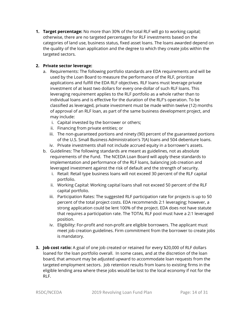**1. Target percentage:** No more than 30% of the total RLF will go to working capital; otherwise, there are no targeted percentages for RLF investments based on the categories of land use, business status, fixed asset loans. The loans awarded depend on the quality of the loan application and the degree to which they create jobs within the targeted sectors.

## **2. Private sector leverage:**

- a. Requirements: The following portfolio standards are EDA requirements and will be used by the Loan Board to measure the performance of the RLF, prioritize applications and fulfill the EDA RLF objectives. RLF loans must leverage private investment of at least two dollars for every one-dollar of such RLF loans. This leveraging requirement applies to the RLF portfolio as a whole rather than to individual loans and is effective for the duration of the RLF's operation. To be classified as leveraged, private investment must be made within twelve (12) months of approval of an RLF loan, as part of the same business development project, and may include:
	- i. Capital invested by the borrower or others;
	- ii. Financing from private entities; or
	- iii. The non-guaranteed portions and ninety (90) percent of the guaranteed portions of the U.S. Small Business Administration's 7(A) loans and 504 debenture loans.
	- iv. Private investments shall not include accrued equity in a borrower's assets.
- b. Guidelines: The following standards are meant as guidelines, not as absolute requirements of the Fund. The NCEDA Loan Board will apply these standards to implementation and performance of the RLF loans, balancing job creation and leveraged investment against the risk of default and the strength of security.
	- i. Retail: Retail type business loans will not exceed 30 percent of the RLF capital portfolio.
	- ii. Working Capital: Working capital loans shall not exceed 50 percent of the RLF capital portfolio.
	- iii. Participation Rates: The suggested RLF participation rate for projects is up to 50 percent of the total project costs. EDA recommends 2:1 leveraging; however, a strong application could be lent 100% of the project. EDA does not have statute that requires a participation rate. The TOTAL RLF pool must have a 2:1 leveraged position.
	- iv. Eligibility: For-profit and non-profit are eligible borrowers. The applicant must meet job creation guidelines. Firm commitment from the borrower to create jobs is mandatory.
- **3. Job cost ratio:** A goal of one job created or retained for every \$20,000 of RLF dollars loaned for the loan portfolio overall. In some cases, and at the discretion of the loan board, that amount may be adjusted upward to accommodate loan requests from the targeted employment sectors. Job retention results from loans to existing firms in the eligible lending area where these jobs would be lost to the local economy if not for the RLF.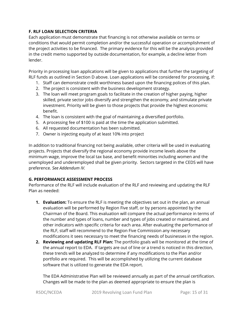## **F. RLF LOAN SELECTION CRITERIA**

Each application must demonstrate that financing is not otherwise available on terms or conditions that would permit completion and/or the successful operation or accomplishment of the project activities to be financed. The primary evidence for this will be the analysis provided in the credit memo supported by outside documentation, for example, a decline letter from lender.

Priority in processing loan applications will be given to applications that further the targeting of RLF funds as outlined in Section D above. Loan applications will be considered for processing, if:

- 1. Staff can demonstrate credit worthiness based upon the financing polices of this plan.
- 2. The project is consistent with the business development strategy.
- 3. The loan will meet program goals to facilitate in the creation of higher paying, higher skilled, private sector jobs diversify and strengthen the economy, and stimulate private investment. Priority will be given to those projects that provide the highest economic benefit.
- 4. The loan is consistent with the goal of maintaining a diversified portfolio.
- 5. A processing fee of \$100 is paid at the time the application submitted.
- 6. All requested documentation has been submitted.
- 7. Owner is injecting equity of at least 10% into project

In addition to traditional financing not being available, other criteria will be used in evaluating projects. Projects that diversify the regional economy provide income levels above the minimum wage, improve the local tax base, and benefit minorities including women and the unemployed and underemployed shall be given priority. Sectors targeted in the CEDS will have preference. *See Addendum IV.*

## **G. PERFORMANCE ASSESSMENT PROCESS**

Performance of the RLF will include evaluation of the RLF and reviewing and updating the RLF Plan as needed:

- **1. Evaluation:** To ensure the RLF is meeting the objectives set out in the plan, an annual evaluation will be performed by Region Five staff, or by persons appointed by the Chairman of the Board. This evaluation will compare the actual performance in terms of the number and types of loans, number and types of jobs created or maintained, and other indicators with specific criteria for each area. After evaluating the performance of the RLF, staff will recommend to the Region Five Commission any necessary modifications it sees necessary to meet the financing needs of businesses in the region.
- **2. Reviewing and updating RLF Plan:** The portfolio goals will be monitored at the time of the annual report to EDA. If targets are out of line or a trend is noticed in this direction, these trends will be analyzed to determine if any modifications to the Plan and/or portfolio are required. This will be accomplished by utilizing the current database software that is utilized to generate the EDA report.

The EDA Administrative Plan will be reviewed annually as part of the annual certification. Changes will be made to the plan as deemed appropriate to ensure the plan is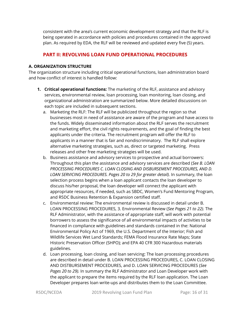consistent with the area's current economic development strategy and that the RLF is being operated in accordance with policies and procedures contained in the approved plan. As required by EDA, the RLF will be reviewed and updated every five (5) years.

# **PART II: REVOLVING LOAN FUND OPERATIONAL PROCEDURES**

#### **A. ORGANIZATION STRUCTURE**

The organization structure including critical operational functions, loan administration board and how conflict of interest is handled follow:

- **1. Critical operational functions:** The marketing of the RLF, assistance and advisory services, environmental review, loan processing, loan monitoring, loan closing, and organizational administration are summarized below. More detailed discussions on each topic are included in subsequent sections.
	- a. Marketing the RLF: The RLF will be publicized throughout the region so that businesses most in need of assistance are aware of the program and have access to the funds. Widely disseminated information about the RLF serves the recruitment and marketing effort, the civil rights requirements, and the goal of finding the best applicants under the criteria. The recruitment program will offer the RLF to applicants in a manner that is fair and nondiscriminatory. The RLF shall explore alternative marketing strategies, such as, direct or targeted marketing. Press releases and other free marketing strategies will be used.
	- b. Business assistance and advisory services to prospective and actual borrowers: Throughout this plan the assistance and advisory services are described (*See B. LOAN PROCESSING PROCEDURES C. LOAN CLOSING AND DISBURSEMENT PROCEDURES, AND D. LOAN SERVICING PROCEDURES. Pages 20 to 29 for greater detail).* In summary, the loan selection process begins when a loan applicant contacts the loan developer to discuss his/her proposal, the loan developer will connect the applicant with appropriate resources, if needed, such as SBDC, Women's Fund Mentoring Program, and R5DC Business Retention & Expansion certified staff.
	- c. Environmental review: The environmental review is discussed in detail under B. LOAN PROCESSING PROCEDURES, 3. Environmental Review (*See Pages 21 to 22).* The RLF Administrator, with the assistance of appropriate staff, will work with potential borrowers to assess the significance of all environmental impacts of activities to be financed in compliance with guidelines and standards contained in the: National Environmental Policy Act of 1969, the U.S. Department of the Interior; Fish and Wildlife Services Wet Land Standards; FEMA Flood Insurance Rate Maps; State Historic Preservation Officer (SHPO); and EPA 40 CFR 300 Hazardous materials guidelines.
	- d. Loan processing, loan closing, and loan servicing: The loan processing procedures are described in detail under B. LOAN PROCESSING PROCEDURES, C. LOAN CLOSING AND DISTBURSEMENT PROCEDURES, and D. LOAN SERVICING PROCEDURES (*See Pages 20 to 29).* In summary the RLF Administrator and Loan Developer work with the applicant to prepare the items required by the RLF loan application. The Loan Developer prepares loan write-ups and distributes them to the Loan Committee.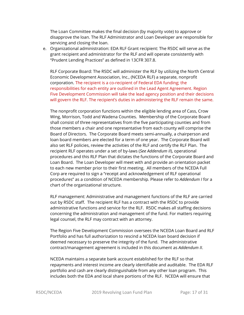The Loan Committee makes the final decision (by majority vote) to approve or disapprove the loan. The RLF Administrator and Loan Developer are responsible for servicing and closing the loan.

e. Organizational administration: EDA RLF Grant recipient: The R5DC will serve as the grant recipient and administrator for the RLF and will operate consistently with "Prudent Lending Practices" as defined in 13CFR 307.8.

RLF Corporate Board: The R5DC will administer the RLF by utilizing the North Central Economic Development Association, Inc., (NCEDA RLF) a separate, nonprofit corporation. The recipient is a co-recipient of Federal EDA funding; the responsibilities for each entity are outlined in the Lead Agent Agreement. Region Five Development Commission will take the lead agency position and their decisions will govern the RLF. The recipient's duties in administering the RLF remain the same.

The nonprofit corporation functions within the eligible lending area of Cass, Crow Wing, Morrison, Todd and Wadena Counties. Membership of the Corporate Board shall consist of three representatives from the five participating counties and from those members a chair and one representative from each county will comprise the Board of Directors. The Corporate Board meets semi-annually, a chairperson and loan board members are elected for a term of one year. The Corporate Board will also set RLF policies, review the activities of the RLF and certify the RLF Plan. The recipient RLF operates under a set of by-laws (*See Addendum II*), operational procedures and this RLF Plan that dictates the functions of the Corporate Board and Loan Board. The Loan Developer will meet with and provide an orientation packet to each new member prior to their first meeting. All members of the NCEDA Full Corp are required to sign a "receipt and acknowledgement of RLF operational procedures" as a condition of NCEDA membership. Please refer to *Addendum I* for a chart of the organizational structure.

RLF management: Administrative and management functions of the RLF are carried out by R5DC staff. The recipient RLF has a contract with the R5DC to provide administrative functions and service for the RLF. R5DC makes all staffing decisions concerning the administration and management of the fund. For matters requiring legal counsel, the RLF may contract with an attorney.

The Region Five Development Commission oversees the NCEDA Loan Board and RLF Portfolio and has full authorization to rescind a NCEDA loan board decision if deemed necessary to preserve the integrity of the fund. The administrative contract/management agreement is included in this document as *Addendum II*.

NCEDA maintains a separate bank account established for the RLF so that repayments and interest income are clearly identifiable and auditable. The EDA RLF portfolio and cash are clearly distinguishable from any other loan program. This includes both the EDA and local share portions of the RLF. NCEDA will ensure that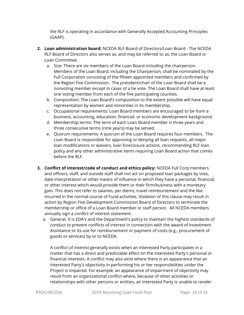the RLF is operating in accordance with Generally Accepted Accounting Principles (GAAP).

- **2. Loan administration board:** NCEDA RLF Board of Directors/Loan Board The NCEDA RLF Board of Directors also serves as, and may be referred to as, the Loan Board or Loan Committee.
	- a. Size: There are six members of the Loan Board including the chairperson. Members of the Loan Board, including the Chairperson, shall be nominated by the Full Corporation consisting of the fifteen appointed members and confirmed by the Region Five Commission. The president/chair of the Loan Board shall be a nonvoting member except in cases of a tie vote. The Loan Board shall have at least one voting member from each of the five participating counties.
	- b. Composition: The Loan Board's composition to the extent possible will have equal representation by women and minorities in its membership.
	- c. Occupational requirements: Loan Board members are encouraged to be from a business, accounting, education, financial, or economic development background.
	- d. Membership terms: The term of each Loan Board member is three years and three consecutive terms (nine years) may be served.
	- e. Quorum requirements: A quorum of the Loan Board requires four members. The Loan Board is responsible for approving or denying all loan requests, all major loan modifications or waivers, loan foreclosure actions, recommending RLF loan policy and any other administrative items requiring Loan Board action that comes before the RLF.
- **3. Conflict of interest/code of conduct and ethics policy:** NCEDA Full Corp members and officers, staff, and outside staff shall not act on proposed loan packages by vote, date interpretation or other means of influence in which they have a personal, financial, or other interest which would provide them or their firm/business with a monetary gain. This does not refer to salaries, per diems, travel reimbursement and the like incurred in the normal course of Fund activities. Violation of this clause may result in action by Region Five Development Commission Board of Directors to terminate the membership or office of a Loan Board member or staff person. All NCEDA members annually sign a conflict of interest statement.
	- a. General. It is EDA's and the Department's policy to maintain the highest standards of conduct to prevent conflicts of interest in connection with the award of Investment Assistance or its use for reimbursement or payment of costs (e.g., procurement of goods or services) by or to NCEDA.

A conflict of interest generally exists when an Interested Party participates in a matter that has a direct and predictable effect on the Interested Party's personal or financial interests. A conflict may also exist where there is an appearance that an Interested Party's objectivity in performing his or her responsibilities under the Project is impaired. For example, an appearance of impairment of objectivity may result from an organizational conflict where, because of other activities or relationships with other persons or entities, an Interested Party is unable to render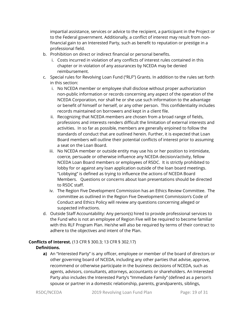impartial assistance, services or advice to the recipient, a participant in the Project or to the Federal government. Additionally, a conflict of interest may result from nonfinancial gain to an Interested Party, such as benefit to reputation or prestige in a professional field.

- b. Prohibition on direct or indirect financial or personal benefits.
	- i. Costs incurred in violation of any conflicts of interest rules contained in this chapter or in violation of any assurances by NCEDA may be denied reimbursement.
- c. Special rules for Revolving Loan Fund ("RLF") Grants. In addition to the rules set forth in this section:
	- i. No NCEDA member or employee shall disclose without proper authorization non-public information or records concerning any aspect of the operation of the NCEDA Corporation, nor shall he or she use such information to the advantage or benefit of himself or herself, or any other person. This confidentiality includes records maintained on borrowers and kept in a client file.
	- ii. Recognizing that NCEDA members are chosen from a broad range of fields, professions and interests renders difficult the limitation of external interests and activities. In so far as possible, members are generally enjoined to follow the standards of conduct that are outlined herein. Further, it is expected that Loan Board members will outline their potential conflicts of interest prior to assuming a seat on the Loan Board.
	- iii. No NCEDA member or outside entity may use his or her position to intimidate, coerce, persuade or otherwise influence any NCEDA decision/activity, fellow NCEDA Loan Board members or employees of R5DC. It is strictly prohibited to lobby for or against any loan application outside of the loan board meetings. "Lobbying" is defined as trying to influence the actions of NCEDA Board Members. Questions or concerns about loan presentations should be directed to R5DC staff.
	- iv. The Region Five Development Commission has an Ethics Review Committee. The committee as outlined in the Region Five Development Commission's Code of Conduct and Ethics Policy will review any questions concerning alleged or suspected infractions.
- d. Outside Staff Accountability: Any person(s) hired to provide professional services to the Fund who is not an employee of Region Five will be required to become familiar with this RLF Program Plan. He/she will also be required by terms of their contract to adhere to the objectives and intent of the Plan.

## **Conflicts of Interest.** (13 CFR § 300.3; 13 CFR § 302.17) **Definitions.**

**a)** An "Interested Party" is any officer, employee or member of the board of directors or other governing board of NCEDA, including any other parties that advise, approve, recommend or otherwise participate in the business decisions of NCEDA, such as agents, advisors, consultants, attorneys, accountants or shareholders. An Interested Party also includes the Interested Party's "Immediate Family" (defined as a person's spouse or partner in a domestic relationship, parents, grandparents, siblings,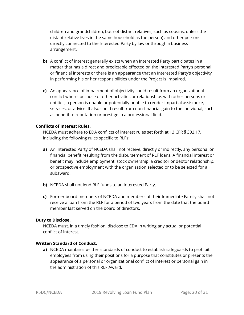children and grandchildren, but not distant relatives, such as cousins, unless the distant relative lives in the same household as the person) and other persons directly connected to the Interested Party by law or through a business arrangement.

- **b)** A conflict of interest generally exists when an Interested Party participates in a matter that has a direct and predictable effected on the Interested Party's personal or financial interests or there is an appearance that an Interested Party's objectivity in performing his or her responsibilities under the Project is impaired.
- **c)** An appearance of impairment of objectivity could result from an organizational conflict where, because of other activities or relationships with other persons or entities, a person is unable or potentially unable to render impartial assistance, services, or advice. It also could result from non-financial gain to the individual, such as benefit to reputation or prestige in a professional field.

#### **Conflicts of Interest Rules.**

NCEDA must adhere to EDA conflicts of interest rules set forth at 13 CFR § 302.17, including the following rules specific to RLFs:

- **a)** An Interested Party of NCEDA shall not receive, directly or indirectly, any personal or financial benefit resulting from the disbursement of RLF loans. A financial interest or benefit may include employment, stock ownership, a creditor or debtor relationship, or prospective employment with the organization selected or to be selected for a subaward.
- **b)** NCEDA shall not lend RLF funds to an Interested Party.
- **c)** Former board members of NCEDA and members of their Immediate Family shall not receive a loan from the RLF for a period of two years from the date that the board member last served on the board of directors.

#### **Duty to Disclose.**

NCEDA must, in a timely fashion, disclose to EDA in writing any actual or potential conflict of interest.

#### **Written Standard of Conduct.**

**a)** NCEDA maintains written standards of conduct to establish safeguards to prohibit employees from using their positions for a purpose that constitutes or presents the appearance of a personal or organizational conflict of interest or personal gain in the administration of this RLF Award.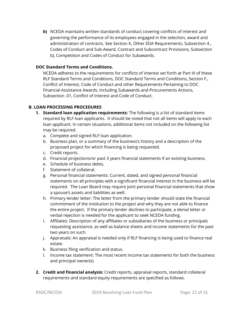**b)** NCEDA maintains written standards of conduct covering conflicts of interest and governing the performance of its employees engaged in the selection, award and administration of contracts. See Section K, Other EDA Requirements, Subsection 4., Codes of Conduct and Sub-Award, Contract and Subcontract Provisions, Subsection b), Competition and Codes of Conduct for Subawards.

#### **DOC Standard Terms and Conditions.**

NCEDA adheres to the requirements for conflicts of interest set forth at Part III of these RLF Standard Terms and Conditions, DOC Standard Terms and Conditions, Section F., Conflict of Interest, Code of Conduct and other Requirements Pertaining to DOC Financial Assistance Awards, Including Subawards and Procurements Actions, Subsection .01, Conflict of Interest and Code of Conduct.

#### **B. LOAN PROCESSING PROCEDURES**

- **1. Standard loan application requirements:** The following is a list of standard items required by RLF loan applicants. It should be noted that not all items will apply to each loan applicant. In certain situations, additional items not included on the following list may be required.
	- a. Complete and signed RLF loan application.
	- b. Business plan, or a summary of the business's history and a description of the proposed project for which financing is being requested.
	- c. Credit reports.
	- d. Financial projections/or past 3 years financial statements if an existing business.
	- e. Schedule of business debts.
	- f. Statement of collateral.
	- g. Personal financial statements: Current, dated, and signed personal financial statements on all principles with a significant financial interest in the business will be required. The Loan Board may require joint personal financial statements that show a spouse's assets and liabilities as well.
	- h. Primary lender letter: The letter from the primary lender should state the financial commitment of the institution to the project and why they are not able to finance the entire project. If the primary lender declines to participate, a denial letter or verbal rejection is needed for the applicant to seek NCEDA funding.
	- i. Affiliates: Description of any affiliates or subsidiaries of the business or principals requesting assistance, as well as balance sheets and income statements for the past two years on such.
	- j. Appraisals: An appraisal is needed only if RLF financing is being used to finance real estate.
	- k. Business filing verification and status.
	- l. Income tax statement: The most recent income tax statements for both the business and principal owner(s).
- **2. Credit and financial analysis:** Credit reports, appraisal reports, standard collateral requirements and standard equity requirements are specified as follows.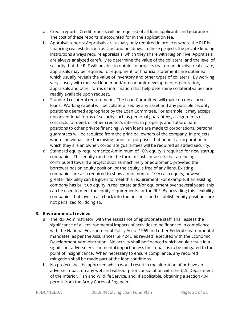- a. Credit reports: Credit reports will be required of all loan applicants and guarantors. The cost of these reports is accounted for in the application fee.
- b. Appraisal reports: Appraisals are usually only required in projects where the RLF is financing real estate such as land and buildings. In these projects the private lending institutions always require appraisals, which they share with Region Five. Appraisals are always analyzed carefully to determine the value of the collateral and the level of security that the RLF will be able to obtain. In projects that do not involve real estate, appraisals may be required for equipment, or financial statements are obtained which usually reveals the value of inventory and other types of collateral. By working very closely with the lead lender and/or economic development organization, appraisals and other forms of information that help determine collateral values are readily available upon request.
- c. Standard collateral requirements: The Loan Committee will make no unsecured loans. Working capital will be collateralized by any asset and any possible security positions deemed appropriate by the Loan Committee. For example, it may accept unconventional forms of security such as personal guarantees, assignments of contracts for deed, or other creditor's interest in property, and subordinate positions to other private financing. When loans are made to corporations, personal guarantees will be required from the principal owners of the company. In projects where individuals are borrowing funds for purposes that benefit a corporation in which they are an owner, corporate guarantees will be required as added security.
- d. Standard equity requirements: A minimum of 10% equity is required for new startup companies. This equity can be in the form of cash, or assets that are being contributed toward a project such as machinery or equipment, provided the borrower has an equity position, or the equity is free of any liens. Existing companies are also required to show a minimum of 10% cash equity, however greater flexibility can be given to meet this requirement. For example, if an existing company has built up equity in real estate and/or equipment over several years, this can be used to meet the equity requirements for the RLF. By providing this flexibility, companies that invest cash back into the business and establish equity positions are not penalized for doing so.

## **3. Environmental review:**

- a. The RLF Administrator, with the assistance of appropriate staff, shall assess the significance of all environmental impacts of activities to be financed in compliance with the National Environmental Policy Act of 1969 and other Federal environmental mandates, as per the Assurances (SF 424D as revised) executed with the Economic Development Administration. No activity shall be financed which would result in a significant adverse environmental impact unless the impact is to be mitigated to the point of insignificance. When necessary to ensure compliance, any required mitigation shall be made part of the loan conditions.
- b. No project shall be approved which would result in the alteration of or have an adverse impact on any wetland without prior consultation with the U.S. Department of the Interior, Fish and Wildlife Service, and, if applicable, obtaining a section 404 permit from the Army Corps of Engineers.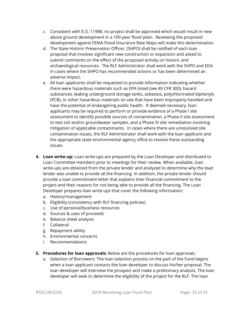- c. Consistent with E.O. 11988, no project shall be approved which would result in new above ground development in a 100-year flood plain. Reviewing the proposed development against FEMA Flood Insurance Rate Maps will make this determination.
- d. The State Historic Preservation Officer, (SHPO) shall be notified of each loan proposal that involves significant new construction or expansion and asked to submit comments on the effect of the proposed activity on historic and archaeological resources. The RLF Administrator shall work with the SHPO and EDA in cases where the SHPO has recommended actions or has been determined an adverse impact.
- e. All loan applicants shall be requested to provide information indicating whether there were hazardous materials such as EPA listed (see 40 CFR 300), hazard substances, leaking underground storage tanks, asbestos, polychlorinated biphenyls (PCB), or other hazardous materials on site that have been improperly handled and have the potential of endangering public health. If deemed necessary, loan applicants may be required to perform or provide evidence of a Phase I site assessment to identify possible sources of contamination, a Phase II site assessment to test soil and/or groundwater samples, and a Phase III site remediation involving mitigation of applicable contaminants. In cases where there are unresolved site contamination issues, the RLF Administrator shall work with the loan applicant and the appropriate state environmental agency office to resolve these outstanding issues.
- **4. Loan write-up:** Loan write-ups are prepared by the Loan Developer and distributed to Loan Committee members prior to meetings for their review. When available, loan write-ups are obtained from the private lender and analyzed to determine why the lead lender was unable to provide all the financing. In addition, the private lender should provide a loan commitment letter that explains their financial commitment to the project and their reasons for not being able to provide all the financing. The Loan Developer prepares loan write-ups that cover the following information:
	- a. History/management
	- b. Eligibility (consistency with RLF financing policies)
	- c. Use of personal/business resources
	- d. Sources & uses of proceeds
	- e. Balance sheet analysis
	- f. Collateral
	- g. Repayment ability
	- h. Environmental concerns
	- i. Recommendations
- **5. Procedures for loan approvals:** Below are the procedures for loan approvals.
	- a. Selection of Borrowers: The loan selection process on the part of the Fund begins when a loan applicant contacts the loan developer to discuss his/her proposal. The loan developer will interview the prospect and make a preliminary analysis. The loan developer will seek to determine the eligibility of the project for the RLF. The loan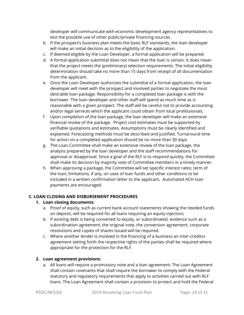developer will communicate with economic development agency representatives to test the possible use of other public/private financing sources.

- b. If the prospect's business plan meets the basic RLF standards, the loan developer will make an initial decision as to the eligibility of the application.
- c. If deemed eligible by the Loan Developer, a formal application will be prepared.
- d. A formal application submittal does not mean that the loan is certain. It does mean that the project meets the (preliminary) selection requirements. The initial eligibility determination should take no more than 15 days from receipt of all documentation from the applicant.
- e. Once the Loan Developer authorizes the submittal of a formal application, the loan developer will meet with the prospect and involved parties to negotiate the most desirable loan package. Responsibility for a completed loan package is with the borrower. The loan developer and other staff will spend as much time as is reasonable with a given prospect. The staff will be careful not to provide accounting and/or legal services which the applicant could obtain from local professionals.
- f. Upon completion of the loan package, the loan developer will make an extensive financial review of the package. Project cost estimates must be supported by verifiable quotations and estimates. Assumptions must be clearly identified and explained. Forecasting methods must be described and justified. Turnaround time for action on a completed application should be no more than 30 days.
- g. The Loan Committee shall make an extensive review of the loan package, the analysis prepared by the loan developer and the staff recommendations for approval or disapproval. Since a goal of the RLF is to respond quickly, the Committee shall make its decision by majority vote of Committee members in a timely manner.
- h. When approving a package, the Committee will set specific interest rates; term of the loan; limitations, if any, on uses of loan funds and other conditions to be included in a written confirmation letter to the applicant. Automated ACH loan payments are encouraged.

## **C. LOAN CLOSING AND DISBURSEMENT PROCEDURES**

## **1. Loan closing documents:**

- a. Proof of equity, such as current bank account statements showing the needed funds on deposit, will be required for all loans requiring an equity injection;
- b. If existing debt is being converted to equity, or subordinated, evidence such as a subordination agreement, the original note, the conversion agreement, corporate resolutions and copies of shares issued will be required.
- c. Where another lender is involved in the financing of a business an inter-creditor agreement setting forth the respective rights of the parties shall be required where appropriate for the protection for the RLF.

## **2. Loan agreement provisions:**

a. All loans will require a promissory note and a loan agreement: The Loan Agreement shall contain covenants that shall require the borrower to comply with the Federal statutory and regulatory requirements that apply to activities carried out with RLF loans. The Loan Agreement shall contain a provision to protect and hold the Federal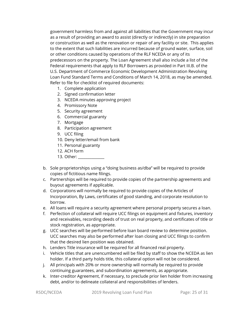government harmless from and against all liabilities that the Government may incur as a result of providing an award to assist (directly or indirectly) in site preparation or construction as well as the renovation or repair of any facility or site. This applies to the extent that such liabilities are incurred because of ground water, surface, soil or other conditions caused by operations of the RLF NCEDA or any of its predecessors on the property. The Loan Agreement shall also include a list of the Federal requirements that apply to RLF Borrowers as provided in Part III.B. of the U.S. Department of Commerce Economic Development Administration Revolving Loan Fund Standard Terms and Conditions of March 14, 2018, as may be amended. Refer to file for checklist of required documents:

- 1. Complete application
- 2. Signed confirmation letter
- 3. NCEDA minutes approving project
- 4. Promissory Note
- 5. Security agreement
- 6. Commercial guaranty
- 7. Mortgage
- 8. Participation agreement
- 9. UCC filing
- 10. Deny letter/email from bank
- 11. Personal guaranty
- 12. ACH form
- 13. Other: \_\_\_\_\_\_\_\_\_\_\_\_\_\_
- b. Sole proprietorships using a "doing business as/dba" will be required to provide copies of fictitious name filings.
- c. Partnerships will be required to provide copies of the partnership agreements and buyout agreements if applicable.
- d. Corporations will normally be required to provide copies of the Articles of Incorporation, By Laws, certificates of good standing, and corporate resolution to borrow.
- e. All loans will require a security agreement where personal property secures a loan.
- f. Perfection of collateral will require UCC filings on equipment and fixtures, inventory and receivables, recording deeds of trust on real property, and certificates of title or stock registration, as appropriate.
- g. UCC searches will be performed before loan board review to determine position. UCC searches may also be performed after loan closing and UCC filings to confirm that the desired lien position was obtained.
- h. Lenders Title insurance will be required for all financed real property.
- i. Vehicle titles that are unencumbered will be filed by staff to show the NCEDA as lien holder. If a third party holds title, this collateral option will not be considered.
- j. All principals with 20% or more ownership will normally be required to provide continuing guarantees, and subordination agreements, as appropriate.
- k. Inter-creditor Agreement, if necessary, to preclude prior lien holder from increasing debt, and/or to delineate collateral and responsibilities of lenders.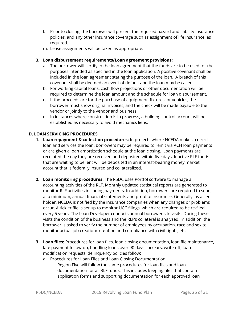- l. Prior to closing, the borrower will present the required hazard and liability insurance policies, and any other insurance coverage such as assignment of life insurance, as required.
- m. Lease assignments will be taken as appropriate.

## **3. Loan disbursement requirements/Loan agreement provisions:**

- a. The borrower will certify in the loan agreement that the funds are to be used for the purposes intended as specified in the loan application. A positive covenant shall be included in the loan agreement stating the purpose of the loan. A breach of this covenant shall be deemed an event of default and the loan may be called.
- b. For working capital loans, cash flow projections or other documentation will be required to determine the loan amount and the schedule for loan disbursement.
- c. If the proceeds are for the purchase of equipment, fixtures, or vehicles, the borrower must show original invoices, and the check will be made payable to the vendor or jointly to the vendor and business.
- d. In instances where construction is in progress, a building control account will be established as necessary to avoid mechanics liens.

## **D. LOAN SERVICING PROCEDURES**

- **1. Loan repayment & collection procedures:** In projects where NCEDA makes a direct loan and services the loan, borrowers may be required to remit via ACH loan payments or are given a loan amortization schedule at the loan closing. Loan payments are receipted the day they are received and deposited within five days. Inactive RLF funds that are waiting to be lent will be deposited in an interest-bearing money market account that is federally insured and collateralized.
- **2. Loan monitoring procedures:** The R5DC uses Portfol software to manage all accounting activities of the RLF. Monthly updated statistical reports are generated to monitor RLF activities including payments. In addition, borrowers are required to send, at a minimum, annual financial statements and proof of insurance. Generally, as a lien holder, NCEDA is notified by the insurance companies when any changes or problems occur. A tickler file is set up to monitor UCC filings, which are required to be re-filed every 5 years. The Loan Developer conducts annual borrower site visits. During these visits the condition of the business and the RLF's collateral is analyzed. In addition, the borrower is asked to verify the number of employees by occupation, race and sex to monitor actual job creation/retention and compliance with civil rights, etc**.**
- **3. Loan files:** Procedures for loan files, loan closing documentation, loan file maintenance, late payment follow-up, handling loans over 90 days I arrears, write-off, loan modification requests, delinquency policies follow:
	- a. Procedures for Loan Files and Loan Closing Documentation
		- i. Region Five will follow the same procedures for loan files and loan documentation for all RLF funds. This includes keeping files that contain application forms and supporting documentation for each approved loan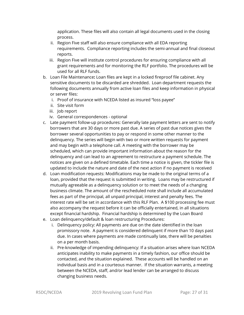application. These files will also contain all legal documents used in the closing process.

- ii. Region Five staff will also ensure compliance with all EDA reporting requirements. Compliance reporting includes the semi-annual and final closeout reports.
- iii. Region Five will institute control procedures for ensuring compliance with all grant requirements and for monitoring the RLF portfolio. The procedures will be used for all RLF funds.
- b. Loan File Maintenance**:** Loan files are kept in a locked fireproof file cabinet. Any sensitive documents to be discarded are shredded. Loan department requests the following documents annually from active loan files and keep information in physical or server files:
	- i. Proof of insurance with NCEDA listed as insured "loss payee"
	- ii. Site visit form
	- iii. Job report
	- iv. General correspondences optional
- c. Late payment follow-up procedures: Generally late payment letters are sent to notify borrowers that are 30 days or more past due. A series of past due notices gives the borrower several opportunities to pay or respond in some other manner to the delinquency. The series will begin with two or more written requests for payment and may begin with a telephone call. A meeting with the borrower may be scheduled, which can provide important information about the reason for the delinquency and can lead to an agreement to restructure a payment schedule. The notices are given on a defined timetable. Each time a notice is given, the tickler file is updated to include the nature and date of the next action if no payment is received
- d. Loan modification requests: Modifications may be made to the original terms of a loan, provided that the request is submitted in writing. Loans may be restructured if mutually agreeable as a delinquency solution or to meet the needs of a changing business climate. The amount of the rescheduled note shall include all accumulated fees as part of the principal, all unpaid principal, interest and penalty fees. The interest rate will be set in accordance with this RLF Plan. A \$100 processing fee must also accompany the request before it can be officially entertained, in all situations except financial hardship. Financial hardship is determined by the Loan Board
- e. Loan delinquency/default & loan restructuring Procedures:
	- i. Delinquency policy: All payments are due on the date identified in the loan promissory note. A payment is considered delinquent if more than 10 days past due. In cases where payments are made continually late, there will be penalties on a per month basis.
	- ii. Pre-knowledge of impending delinquency: If a situation arises where loan NCEDA anticipates inability to make payments in a timely fashion, our office should be contacted, and the situation explained. These accounts will be handled on an individual basis and in a courteous manner. If the situation warrants, a meeting between the NCEDA, staff, and/or lead lender can be arranged to discuss changing business needs.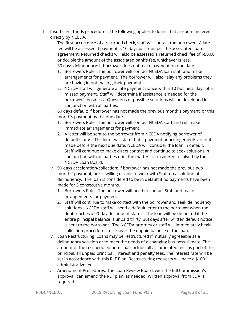- f. Insufficient funds procedures: The following applies to loans that are administered directly by NCEDA.
	- i. The first occurrence of a returned check, staff will contact the borrower. A late fee will be assessed if payment is 10 days past due per the associated loan agreement. Returned checks will also be assessed a returned check fee of \$50.00 or double the amount of the associated bank's fee, whichever is less.
	- ii. 30 days delinquency: If borrower does not make payment on due date:
		- 1. Borrowers Role The borrower will contact NCEDA loan staff and make arrangements for payment. The borrower will also relay any problems they are having in not making their payment.
		- 2. NCEDA staff will generate a late payment notice within 10 business days of a missed payment. Staff will determine if assistance is needed for the borrower's business. Questions of possible solutions will be developed in conjunction with all parties.
	- iii. 60 days default: If borrower has not made the previous month's payment, or this month's payment by the due date.
		- 1. Borrowers Role The borrower will contact NCEDA staff and will make immediate arrangements for payment.
		- 2. A letter will be sent to the borrower from NCEDA notifying borrower of default status. The letter will state that if payment or arrangements are not made before the next due date, NCEDA will consider the loan in default. Staff will continue to make direct contact and continue to seek solutions in conjunction with all parties until the matter is considered resolved by the NCEDA Loan Board.
	- iv. 90 days acceleration/collection: If borrower has not made the previous two months' payment, nor is willing or able to work with Staff on a solution of delinquency. The loan is considered to be in default if no payments have been made for 3 consecutive months.
		- 1. Borrowers Role The borrower will need to contact Staff and make arrangements for payment.
		- 2. Staff will continue to make contact with the borrower and seek delinquency solutions. NCEDA staff will send a default letter to the borrower when the debt reaches a 90-day delinquent status. The loan will be defaulted if the entire principal balance is unpaid thirty (30) days after written default notice is sent to the borrower. The NCEDA attorney or staff will immediately begin collection procedures to recover the unpaid balance of the loan.
	- v. Loan Restructuring: Loans may be restructured if mutually agreeable as a delinquency solution or to meet the needs of a changing business climate. The amount of the rescheduled note shall include all accumulated fees as part of the principal, all unpaid principal, interest and penalty fees. The interest rate will be set in accordance with this RLF Plan. Restructuring requests will have a \$100 administrative fee.
	- vi. Amendment Procedures: The Loan Review Board, with the full Commission's approval, can amend the RLF plan, as needed. Written approval from EDA is required.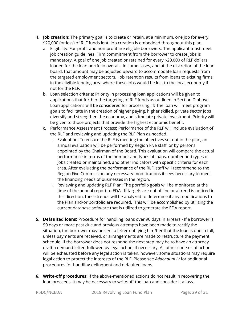- 4. **Job creation:** The primary goal is to create or retain, at a minimum, one job for every \$20,000 (or less) of RLF funds lent. Job creation is embedded throughout this plan.
	- a. Eligibility: For-profit and non-profit are eligible borrowers. The applicant must meet job creation guidelines. Firm commitment from the borrower to create jobs is mandatory. A goal of one job created or retained for every \$20,000 of RLF dollars loaned for the loan portfolio overall. In some cases, and at the discretion of the loan board, that amount may be adjusted upward to accommodate loan requests from the targeted employment sectors. Job retention results from loans to existing firms in the eligible lending area where these jobs would be lost to the local economy if not for the RLF.
	- b. Loan selection criteria: Priority in processing loan applications will be given to applications that further the targeting of RLF funds as outlined in Section D above. Loan applications will be considered for processing, if: The loan will meet program goals to facilitate in the creation of higher paying, higher skilled, private sector jobs diversify and strengthen the economy, and stimulate private investment. Priority will be given to those projects that provide the highest economic benefit.
	- c. Performance Assessment Process: Performance of the RLF will include evaluation of the RLF and reviewing and updating the RLF Plan as needed.
		- i. Evaluation: To ensure the RLF is meeting the objectives set out in the plan, an annual evaluation will be performed by Region Five staff, or by persons appointed by the Chairman of the Board. This evaluation will compare the actual performance in terms of the number and types of loans, number and types of jobs created or maintained, and other indicators with specific criteria for each area. After evaluating the performance of the RLF, staff will recommend to the Region Five Commission any necessary modifications it sees necessary to meet the financing needs of businesses in the region.
		- ii. Reviewing and updating RLF Plan: The portfolio goals will be monitored at the time of the annual report to EDA. If targets are out of line or a trend is noticed in this direction, these trends will be analyzed to determine if any modifications to the Plan and/or portfolio are required. This will be accomplished by utilizing the current database software that is utilized to generate the EDA report.
- **5. Defaulted loans:** Procedure for handling loans over 90 days in arrears If a borrower is 90 days or more past due and previous attempts have been made to rectify the situation, the borrower may be sent a letter notifying him/her that the loan is due in full, unless payments are received, or arrangements are made to restructure the payment schedule. If the borrower does not respond the next step may be to have an attorney draft a demand letter, followed by legal action, if necessary. All other courses of action will be exhausted before any legal action is taken, however, some situations may require legal action to protect the interests of the RLF. Please see *Addendum IV* for additional procedures for handling delinquent and defaulted loans.
- **6. Write-off procedures:** If the above-mentioned actions do not result in recovering the loan proceeds, it may be necessary to write-off the loan and consider it a loss.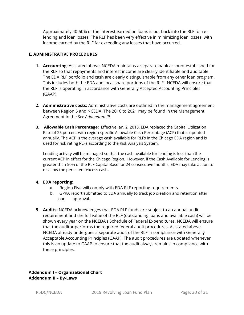Approximately 40-50% of the interest earned on loans is put back into the RLF for relending and loan losses. The RLF has been very effective in minimizing loan losses, with income earned by the RLF far exceeding any losses that have occurred**.** 

#### **E. ADMINISTRATIVE PROCEDURES**

- **1. Accounting:** As stated above, NCEDA maintains a separate bank account established for the RLF so that repayments and interest income are clearly identifiable and auditable. The EDA RLF portfolio and cash are clearly distinguishable from any other loan program. This includes both the EDA and local share portions of the RLF. NCEDA will ensure that the RLF is operating in accordance with Generally Accepted Accounting Principles (GAAP).
- **2. Administrative costs:** Administrative costs are outlined in the management agreement between Region 5 and NCEDA. The 2016 to 2021 may be found in the Management Agreement in the *See Addendum III*.
- **3. Allowable Cash Percentage:** Effective Jan. 2, 2018, EDA replaced the Capital Utilization Rate of 25 percent with region-specific Allowable Cash Percentage (ACP) that is updated annually. The ACP is the average cash available for RLFs in the Chicago EDA region and is used for risk rating RLFs according to the Risk Analysis System.

Lending activity will be managed so that the cash available for lending is less than the current ACP in effect for the Chicago Region. However, if the Cash Available for Lending is greater than 50% of the RLF Capital Base for 24 consecutive months, EDA may take action to disallow the persistent excess cash**.**

#### **4. EDA reporting:**

- a. Region Five will comply with EDA RLF reporting requirements.
- b. GPRA report submitted to EDA annually to track job creation and retention after loan approval.
- **5. Audits:** NCEDA acknowledges that EDA RLF funds are subject to an annual audit requirement and the full value of the RLF (outstanding loans and available cash) will be shown every year on the NCEDA's Schedule of Federal Expenditures. NCEDA will ensure that the auditor performs the required federal audit procedures. As stated above, NCEDA already undergoes a separate audit of the RLF in compliance with Generally Acceptable Accounting Principles (GAAP). The audit procedures are updated whenever this is an update to GAAP to ensure that the audit always remains in compliance with these principles.

**Addendum I – Organizational Chart Addendum II – By-Laws**